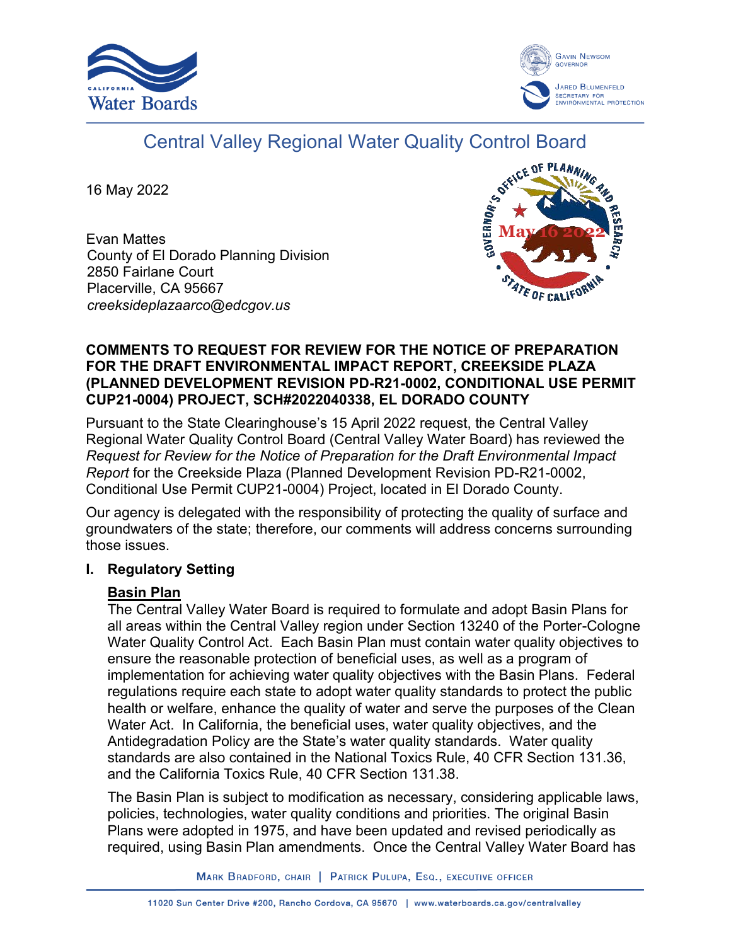



# Central Valley Regional Water Quality Control Board

16 May 2022

Evan Mattes County of El Dorado Planning Division 2850 Fairlane Court Placerville, CA 95667 *creeksideplazaarco@edcgov.us*



#### **COMMENTS TO REQUEST FOR REVIEW FOR THE NOTICE OF PREPARATION FOR THE DRAFT ENVIRONMENTAL IMPACT REPORT, CREEKSIDE PLAZA (PLANNED DEVELOPMENT REVISION PD-R21-0002, CONDITIONAL USE PERMIT CUP21-0004) PROJECT, SCH#2022040338, EL DORADO COUNTY**

Pursuant to the State Clearinghouse's 15 April 2022 request, the Central Valley Regional Water Quality Control Board (Central Valley Water Board) has reviewed the *Request for Review for the Notice of Preparation for the Draft Environmental Impact Report* for the Creekside Plaza (Planned Development Revision PD-R21-0002, Conditional Use Permit CUP21-0004) Project, located in El Dorado County.

Our agency is delegated with the responsibility of protecting the quality of surface and groundwaters of the state; therefore, our comments will address concerns surrounding those issues.

# **I. Regulatory Setting**

# **Basin Plan**

The Central Valley Water Board is required to formulate and adopt Basin Plans for all areas within the Central Valley region under Section 13240 of the Porter-Cologne Water Quality Control Act. Each Basin Plan must contain water quality objectives to ensure the reasonable protection of beneficial uses, as well as a program of implementation for achieving water quality objectives with the Basin Plans. Federal regulations require each state to adopt water quality standards to protect the public health or welfare, enhance the quality of water and serve the purposes of the Clean Water Act. In California, the beneficial uses, water quality objectives, and the Antidegradation Policy are the State's water quality standards. Water quality standards are also contained in the National Toxics Rule, 40 CFR Section 131.36, and the California Toxics Rule, 40 CFR Section 131.38.

The Basin Plan is subject to modification as necessary, considering applicable laws, policies, technologies, water quality conditions and priorities. The original Basin Plans were adopted in 1975, and have been updated and revised periodically as required, using Basin Plan amendments. Once the Central Valley Water Board has

MARK BRADFORD, CHAIR | PATRICK PULUPA, ESQ., EXECUTIVE OFFICER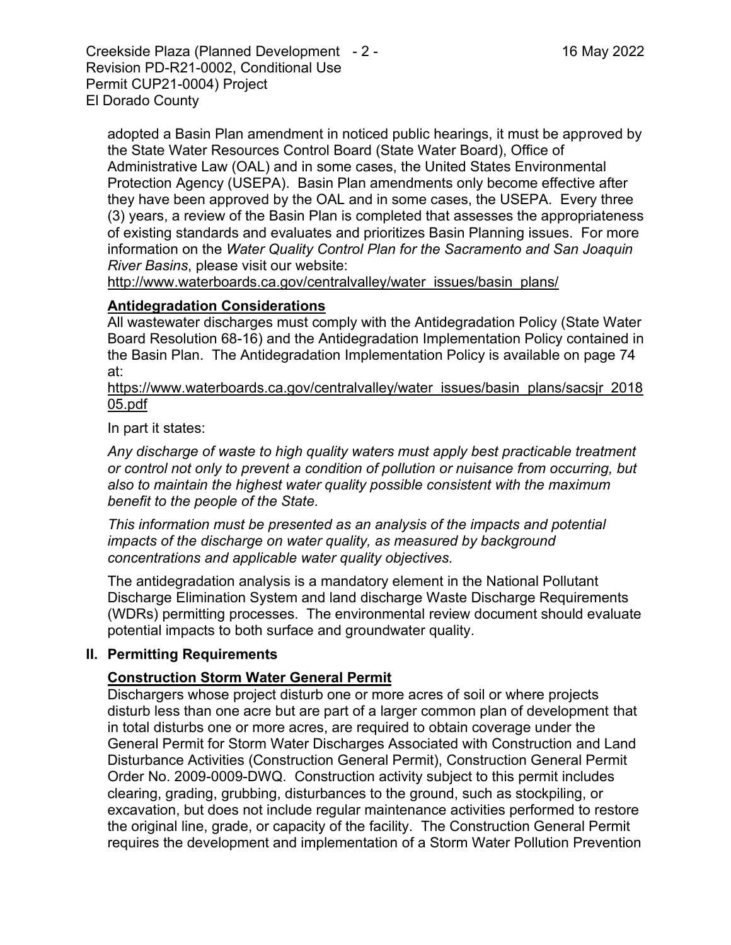Creekside Plaza (Planned Development - 2 - 16 May 2022 Revision PD-R21-0002, Conditional Use Permit CUP21-0004) Project El Dorado County

adopted a Basin Plan amendment in noticed public hearings, it must be approved by the State Water Resources Control Board (State Water Board), Office of Administrative Law (OAL) and in some cases, the United States Environmental Protection Agency (USEPA). Basin Plan amendments only become effective after they have been approved by the OAL and in some cases, the USEPA. Every three (3) years, a review of the Basin Plan is completed that assesses the appropriateness of existing standards and evaluates and prioritizes Basin Planning issues. For more information on the *Water Quality Control Plan for the Sacramento and San Joaquin River Basins*, please visit our website:

[http://www.waterboards.ca.gov/centralvalley/water\\_issues/basin\\_plans/](http://www.waterboards.ca.gov/centralvalley/water_issues/basin_plans/)

#### **Antidegradation Considerations**

All wastewater discharges must comply with the Antidegradation Policy (State Water Board Resolution 68-16) and the Antidegradation Implementation Policy contained in the Basin Plan. The Antidegradation Implementation Policy is available on page 74 at:

https://www.waterboards.ca.gov/centralvalley/water\_issues/basin\_plans/sacsjr\_2018 05.pdf

In part it states:

*Any discharge of waste to high quality waters must apply best practicable treatment or control not only to prevent a condition of pollution or nuisance from occurring, but also to maintain the highest water quality possible consistent with the maximum benefit to the people of the State.*

*This information must be presented as an analysis of the impacts and potential impacts of the discharge on water quality, as measured by background concentrations and applicable water quality objectives.*

The antidegradation analysis is a mandatory element in the National Pollutant Discharge Elimination System and land discharge Waste Discharge Requirements (WDRs) permitting processes. The environmental review document should evaluate potential impacts to both surface and groundwater quality.

#### **II. Permitting Requirements**

# **Construction Storm Water General Permit**

Dischargers whose project disturb one or more acres of soil or where projects disturb less than one acre but are part of a larger common plan of development that in total disturbs one or more acres, are required to obtain coverage under the General Permit for Storm Water Discharges Associated with Construction and Land Disturbance Activities (Construction General Permit), Construction General Permit Order No. 2009-0009-DWQ. Construction activity subject to this permit includes clearing, grading, grubbing, disturbances to the ground, such as stockpiling, or excavation, but does not include regular maintenance activities performed to restore the original line, grade, or capacity of the facility. The Construction General Permit requires the development and implementation of a Storm Water Pollution Prevention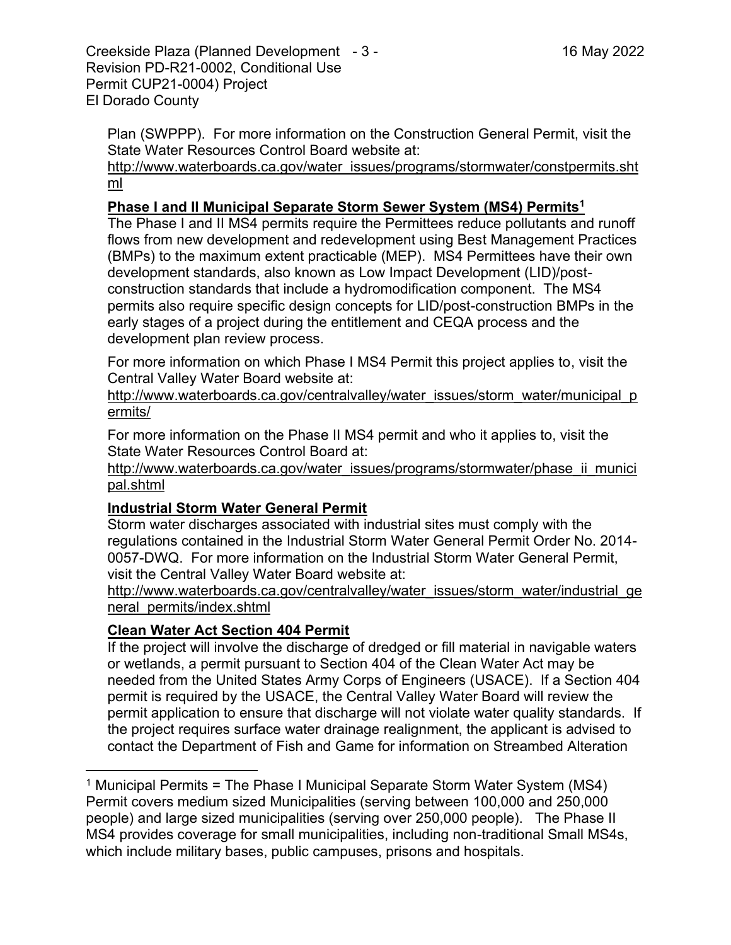Creekside Plaza (Planned Development - 3 - 16 May 2022 Revision PD-R21-0002, Conditional Use Permit CUP21-0004) Project El Dorado County

Plan (SWPPP). For more information on the Construction General Permit, visit the State Water Resources Control Board website at:

[http://www.waterboards.ca.gov/water\\_issues/programs/stormwater/constpermits.sht](http://www.waterboards.ca.gov/water_issues/programs/stormwater/constpermits.shtml) [ml](http://www.waterboards.ca.gov/water_issues/programs/stormwater/constpermits.shtml)

### **Phase I and II Municipal Separate Storm Sewer System (MS4) Permits<sup>1</sup>**

The Phase I and II MS4 permits require the Permittees reduce pollutants and runoff flows from new development and redevelopment using Best Management Practices (BMPs) to the maximum extent practicable (MEP). MS4 Permittees have their own development standards, also known as Low Impact Development (LID)/postconstruction standards that include a hydromodification component. The MS4 permits also require specific design concepts for LID/post-construction BMPs in the early stages of a project during the entitlement and CEQA process and the development plan review process.

For more information on which Phase I MS4 Permit this project applies to, visit the Central Valley Water Board website at:

http://www.waterboards.ca.gov/centralvalley/water\_issues/storm\_water/municipal\_p ermits/

For more information on the Phase II MS4 permit and who it applies to, visit the State Water Resources Control Board at:

http://www.waterboards.ca.gov/water\_issues/programs/stormwater/phase\_ii\_munici pal.shtml

# **Industrial Storm Water General Permit**

Storm water discharges associated with industrial sites must comply with the regulations contained in the Industrial Storm Water General Permit Order No. 2014- 0057-DWQ. For more information on the Industrial Storm Water General Permit, visit the Central Valley Water Board website at:

http://www.waterboards.ca.gov/centralvalley/water\_issues/storm\_water/industrial\_ge neral\_permits/index.shtml

# **Clean Water Act Section 404 Permit**

If the project will involve the discharge of dredged or fill material in navigable waters or wetlands, a permit pursuant to Section 404 of the Clean Water Act may be needed from the United States Army Corps of Engineers (USACE). If a Section 404 permit is required by the USACE, the Central Valley Water Board will review the permit application to ensure that discharge will not violate water quality standards. If the project requires surface water drainage realignment, the applicant is advised to contact the Department of Fish and Game for information on Streambed Alteration

<sup>&</sup>lt;sup>1</sup> Municipal Permits = The Phase I Municipal Separate Storm Water System (MS4) Permit covers medium sized Municipalities (serving between 100,000 and 250,000 people) and large sized municipalities (serving over 250,000 people). The Phase II MS4 provides coverage for small municipalities, including non-traditional Small MS4s, which include military bases, public campuses, prisons and hospitals.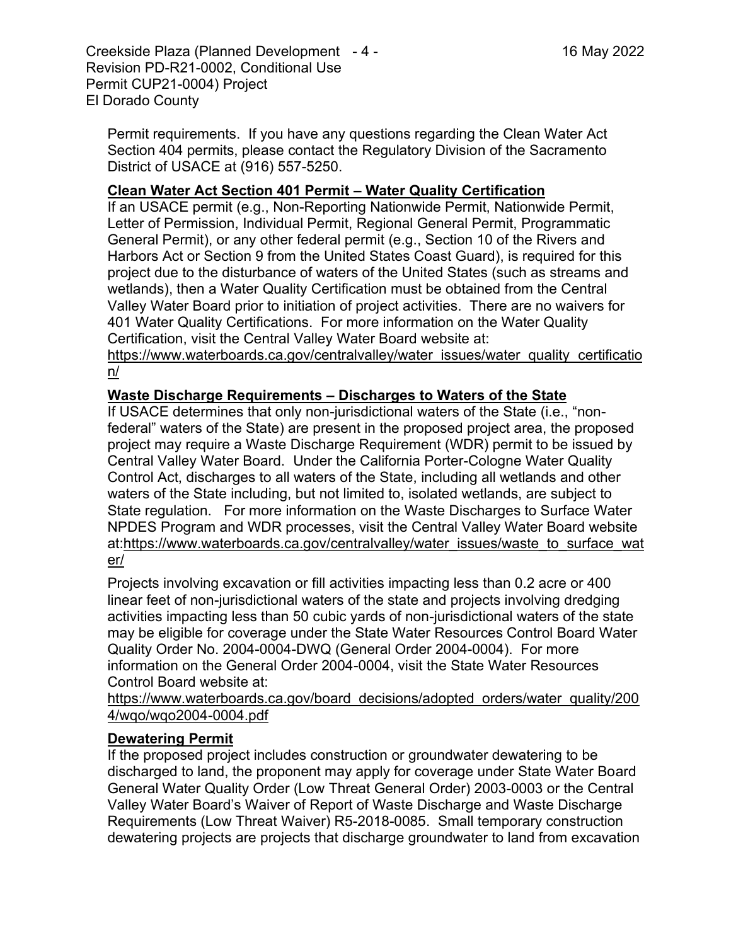Creekside Plaza (Planned Development - 4 - 16 May 2022 Revision PD-R21-0002, Conditional Use Permit CUP21-0004) Project El Dorado County

Permit requirements. If you have any questions regarding the Clean Water Act Section 404 permits, please contact the Regulatory Division of the Sacramento District of USACE at (916) 557-5250.

#### **Clean Water Act Section 401 Permit – Water Quality Certification**

If an USACE permit (e.g., Non-Reporting Nationwide Permit, Nationwide Permit, Letter of Permission, Individual Permit, Regional General Permit, Programmatic General Permit), or any other federal permit (e.g., Section 10 of the Rivers and Harbors Act or Section 9 from the United States Coast Guard), is required for this project due to the disturbance of waters of the United States (such as streams and wetlands), then a Water Quality Certification must be obtained from the Central Valley Water Board prior to initiation of project activities. There are no waivers for 401 Water Quality Certifications. For more information on the Water Quality Certification, visit the Central Valley Water Board website at:

https://www.waterboards.ca.gov/centralvalley/water\_issues/water\_quality\_certificatio n/

#### **Waste Discharge Requirements – Discharges to Waters of the State**

If USACE determines that only non-jurisdictional waters of the State (i.e., "nonfederal" waters of the State) are present in the proposed project area, the proposed project may require a Waste Discharge Requirement (WDR) permit to be issued by Central Valley Water Board. Under the California Porter-Cologne Water Quality Control Act, discharges to all waters of the State, including all wetlands and other waters of the State including, but not limited to, isolated wetlands, are subject to State regulation. For more information on the Waste Discharges to Surface Water NPDES Program and WDR processes, visit the Central Valley Water Board website at:https://www.waterboards.ca.gov/centralvalley/water\_issues/waste\_to\_surface\_wat er/

Projects involving excavation or fill activities impacting less than 0.2 acre or 400 linear feet of non-jurisdictional waters of the state and projects involving dredging activities impacting less than 50 cubic yards of non-jurisdictional waters of the state may be eligible for coverage under the State Water Resources Control Board Water Quality Order No. 2004-0004-DWQ (General Order 2004-0004). For more information on the General Order 2004-0004, visit the State Water Resources Control Board website at:

https://www.waterboards.ca.gov/board\_decisions/adopted\_orders/water\_quality/200 4/wqo/wqo2004-0004.pdf

#### **Dewatering Permit**

If the proposed project includes construction or groundwater dewatering to be discharged to land, the proponent may apply for coverage under State Water Board General Water Quality Order (Low Threat General Order) 2003-0003 or the Central Valley Water Board's Waiver of Report of Waste Discharge and Waste Discharge Requirements (Low Threat Waiver) R5-2018-0085. Small temporary construction dewatering projects are projects that discharge groundwater to land from excavation